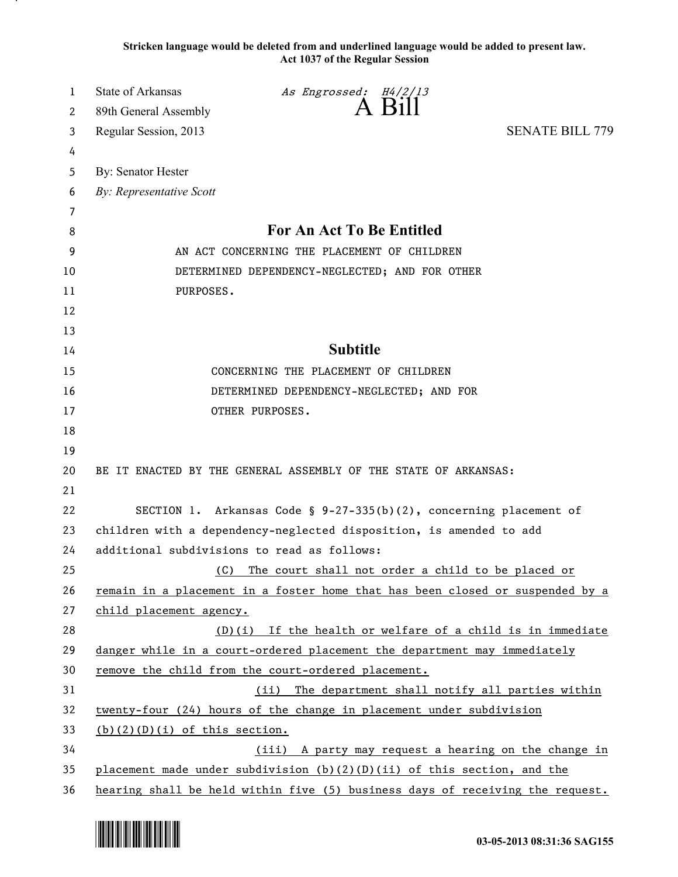**Stricken language would be deleted from and underlined language would be added to present law. Act 1037 of the Regular Session**

| 1  | <b>State of Arkansas</b>                                                      | As Engrossed: H4/2/13                                              |                        |
|----|-------------------------------------------------------------------------------|--------------------------------------------------------------------|------------------------|
| 2  | 89th General Assembly                                                         | $A$ Bill                                                           |                        |
| 3  | Regular Session, 2013                                                         |                                                                    | <b>SENATE BILL 779</b> |
| 4  |                                                                               |                                                                    |                        |
| 5  | By: Senator Hester                                                            |                                                                    |                        |
| 6  | By: Representative Scott                                                      |                                                                    |                        |
| 7  |                                                                               |                                                                    |                        |
| 8  | For An Act To Be Entitled                                                     |                                                                    |                        |
| 9  | AN ACT CONCERNING THE PLACEMENT OF CHILDREN                                   |                                                                    |                        |
| 10 | DETERMINED DEPENDENCY-NEGLECTED; AND FOR OTHER                                |                                                                    |                        |
| 11 | PURPOSES.                                                                     |                                                                    |                        |
| 12 |                                                                               |                                                                    |                        |
| 13 |                                                                               |                                                                    |                        |
| 14 | <b>Subtitle</b>                                                               |                                                                    |                        |
| 15 | CONCERNING THE PLACEMENT OF CHILDREN                                          |                                                                    |                        |
| 16 | DETERMINED DEPENDENCY-NEGLECTED; AND FOR                                      |                                                                    |                        |
| 17 | OTHER PURPOSES.                                                               |                                                                    |                        |
| 18 |                                                                               |                                                                    |                        |
| 19 |                                                                               |                                                                    |                        |
| 20 | BE IT ENACTED BY THE GENERAL ASSEMBLY OF THE STATE OF ARKANSAS:               |                                                                    |                        |
| 21 |                                                                               |                                                                    |                        |
| 22 |                                                                               | SECTION 1. Arkansas Code § 9-27-335(b)(2), concerning placement of |                        |
| 23 | children with a dependency-neglected disposition, is amended to add           |                                                                    |                        |
| 24 | additional subdivisions to read as follows:                                   |                                                                    |                        |
| 25 | (C)                                                                           | The court shall not order a child to be placed or                  |                        |
| 26 | remain in a placement in a foster home that has been closed or suspended by a |                                                                    |                        |
| 27 | child placement agency.                                                       |                                                                    |                        |
| 28 | $(D)(i)$ If the health or welfare of a child is in immediate                  |                                                                    |                        |
| 29 | danger while in a court-ordered placement the department may immediately      |                                                                    |                        |
| 30 | remove the child from the court-ordered placement.                            |                                                                    |                        |
| 31 | The department shall notify all parties within<br>(ii)                        |                                                                    |                        |
| 32 | twenty-four (24) hours of the change in placement under subdivision           |                                                                    |                        |
| 33 | $(b)(2)(D)(i)$ of this section.                                               |                                                                    |                        |
| 34 | (iii) A party may request a hearing on the change in                          |                                                                    |                        |
| 35 | placement made under subdivision $(b)(2)(D)(ii)$ of this section, and the     |                                                                    |                        |
| 36 | hearing shall be held within five (5) business days of receiving the request. |                                                                    |                        |